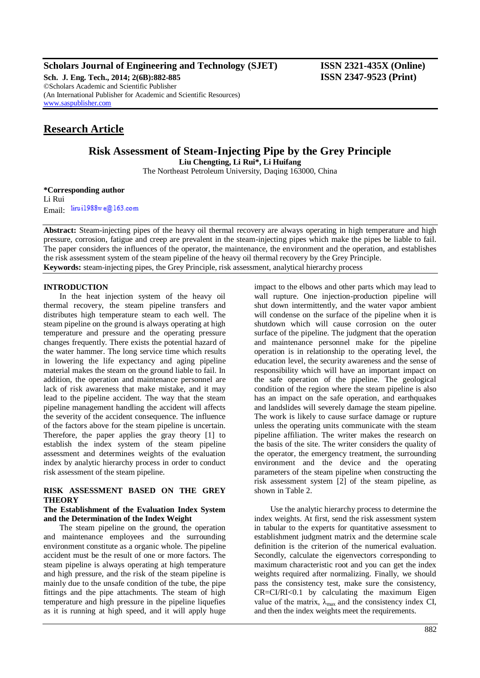**Scholars Journal of Engineering and Technology (SJET) ISSN 2321-435X (Online)**

**Sch. J. Eng. Tech., 2014; 2(6B):882-885 ISSN 2347-9523 (Print)** ©Scholars Academic and Scientific Publisher (An International Publisher for Academic and Scientific Resources) [www.saspublisher.com](http://www.saspublisher.com/)

# **Research Article**

**Risk Assessment of Steam-Injecting Pipe by the Grey Principle**

**Liu Chengting, Li Rui\*, Li Huifang**

The Northeast Petroleum University, Daqing 163000, China

**\*Corresponding author** Li Rui Email: lirui1988we@163.com

**Abstract:** Steam-injecting pipes of the heavy oil thermal recovery are always operating in high temperature and high pressure, corrosion, fatigue and creep are prevalent in the steam-injecting pipes which make the pipes be liable to fail. The paper considers the influences of the operator, the maintenance, the environment and the operation, and establishes the risk assessment system of the steam pipeline of the heavy oil thermal recovery by the Grey Principle. **Keywords:** steam-injecting pipes, the Grey Principle, risk assessment, analytical hierarchy process

# **INTRODUCTION**

In the heat injection system of the heavy oil thermal recovery, the steam pipeline transfers and distributes high temperature steam to each well. The steam pipeline on the ground is always operating at high temperature and pressure and the operating pressure changes frequently. There exists the potential hazard of the water hammer. The long service time which results in lowering the life expectancy and aging pipeline material makes the steam on the ground liable to fail. In addition, the operation and maintenance personnel are lack of risk awareness that make mistake, and it may lead to the pipeline accident. The way that the steam pipeline management handling the accident will affects the severity of the accident consequence. The influence of the factors above for the steam pipeline is uncertain. Therefore, the paper applies the gray theory [1] to establish the index system of the steam pipeline assessment and determines weights of the evaluation index by analytic hierarchy process in order to conduct risk assessment of the steam pipeline.

# **RISK ASSESSMENT BASED ON THE GREY THEORY**

# **The Establishment of the Evaluation Index System and the Determination of the Index Weight**

The steam pipeline on the ground, the operation and maintenance employees and the surrounding environment constitute as a organic whole. The pipeline accident must be the result of one or more factors. The steam pipeline is always operating at high temperature and high pressure, and the risk of the steam pipeline is mainly due to the unsafe condition of the tube, the pipe fittings and the pipe attachments. The steam of high temperature and high pressure in the pipeline liquefies as it is running at high speed, and it will apply huge

impact to the elbows and other parts which may lead to wall rupture. One injection-production pipeline will shut down intermittently, and the water vapor ambient will condense on the surface of the pipeline when it is shutdown which will cause corrosion on the outer surface of the pipeline. The judgment that the operation and maintenance personnel make for the pipeline operation is in relationship to the operating level, the education level, the security awareness and the sense of responsibility which will have an important impact on the safe operation of the pipeline. The geological condition of the region where the steam pipeline is also has an impact on the safe operation, and earthquakes and landslides will severely damage the steam pipeline. The work is likely to cause surface damage or rupture unless the operating units communicate with the steam pipeline affiliation. The writer makes the research on the basis of the site. The writer considers the quality of the operator, the emergency treatment, the surrounding environment and the device and the operating parameters of the steam pipeline when constructing the risk assessment system [2] of the steam pipeline, as shown in Table 2.

Use the analytic hierarchy process to determine the index weights. At first, send the risk assessment system in tabular to the experts for quantitative assessment to establishment judgment matrix and the determine scale definition is the criterion of the numerical evaluation. Secondly, calculate the eigenvectors corresponding to maximum characteristic root and you can get the index weights required after normalizing. Finally, we should pass the consistency test, make sure the consistency, CR=CI/RI<0.1 by calculating the maximum Eigen value of the matrix,  $\lambda_{\text{max}}$  and the consistency index CI, and then the index weights meet the requirements.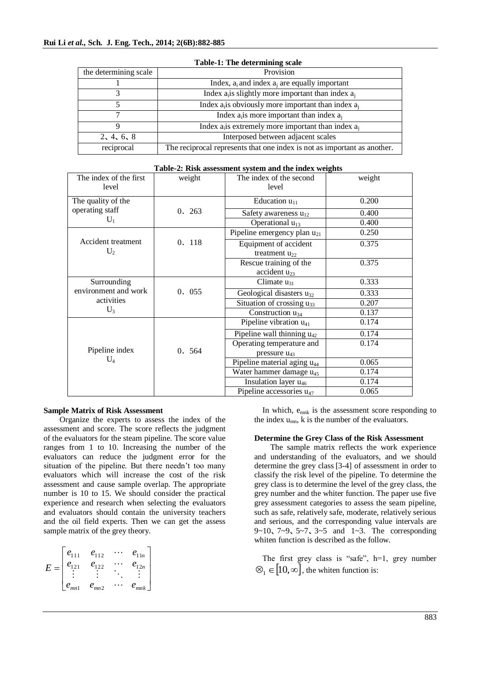| the determining scale                                    | Provision                                                                |  |  |  |  |
|----------------------------------------------------------|--------------------------------------------------------------------------|--|--|--|--|
|                                                          | Index, $a_i$ and index $a_i$ are equally important                       |  |  |  |  |
|                                                          | Index $a_i$ is slightly more important than index $a_i$                  |  |  |  |  |
| Index $a_i$ is obviously more important than index $a_i$ |                                                                          |  |  |  |  |
| Index $a_i$ is more important than index $a_i$           |                                                                          |  |  |  |  |
| Index $a_i$ is extremely more important than index $a_i$ |                                                                          |  |  |  |  |
| 2, 4, 6, 8                                               | Interposed between adjacent scales                                       |  |  |  |  |
| reciprocal                                               | The reciprocal represents that one index is not as important as another. |  |  |  |  |

## **Table-1: The determining scale**

| The index of the first | weight | The index of the second                 | weight |
|------------------------|--------|-----------------------------------------|--------|
| level                  |        | level                                   |        |
| The quality of the     |        | Education $u_{11}$                      | 0.200  |
| operating staff        | 0.263  | Safety awareness $u_{12}$               | 0.400  |
| $U_1$                  |        | Operational $u_{13}$                    | 0.400  |
|                        |        | Pipeline emergency plan u <sub>21</sub> | 0.250  |
| Accident treatment     | 0. 118 | Equipment of accident                   | 0.375  |
| $U_2$                  |        | treatment $u_{22}$                      |        |
|                        |        | Rescue training of the                  | 0.375  |
|                        |        | accident $u_{23}$                       |        |
| Surrounding            |        | Climate $u_{31}$                        | 0.333  |
| environment and work   | 0. 055 | Geological disasters $u_{32}$           | 0.333  |
| activities             |        | Situation of crossing $u_{33}$          | 0.207  |
| $U_3$                  |        | Construction $u_{34}$                   | 0.137  |
|                        |        | Pipeline vibration $u_{41}$             | 0.174  |
|                        |        | Pipeline wall thinning $u_{42}$         | 0.174  |
|                        |        | Operating temperature and               | 0.174  |
| Pipeline index         | 0. 564 | pressure $u_{43}$                       |        |
| $U_4$                  |        | Pipeline material aging u <sub>44</sub> | 0.065  |
|                        |        | Water hammer damage u <sub>45</sub>     | 0.174  |
|                        |        | Insulation layer u <sub>46</sub>        | 0.174  |
|                        |        | Pipeline accessories $u_{47}$           | 0.065  |

#### **Table-2: Risk assessment system and the index weights**

#### **Sample Matrix of Risk Assessment**

Organize the experts to assess the index of the assessment and score. The score reflects the judgment of the evaluators for the steam pipeline. The score value ranges from 1 to 10. Increasing the number of the evaluators can reduce the judgment error for the situation of the pipeline. But there needn't too many evaluators which will increase the cost of the risk assessment and cause sample overlap. The appropriate number is 10 to 15. We should consider the practical experience and research when selecting the evaluators and evaluators should contain the university teachers and the oil field experts. Then we can get the assess sample matrix of the grey theory.

$$
E = \begin{bmatrix} e_{111} & e_{112} & \cdots & e_{11n} \\ e_{121} & e_{122} & \cdots & e_{12n} \\ \vdots & \vdots & \ddots & \vdots \\ e_{mn1} & e_{mn2} & \cdots & e_{mnk} \end{bmatrix}
$$

In which,  $e_{mnk}$  is the assessment score responding to the index  $u_{mn}$ , k is the number of the evaluators.

#### **Determine the Grey Class of the Risk Assessment**

The sample matrix reflects the work experience and understanding of the evaluators, and we should determine the grey class [3-4] of assessment in order to classify the risk level of the pipeline. To determine the grey class is to determine the level of the grey class, the grey number and the whiter function. The paper use five grey assessment categories to assess the seam pipeline, such as safe, relatively safe, moderate, relatively serious and serious, and the corresponding value intervals are 9~10、7~9、5~7、3~5 and 1~3. The corresponding whiten function is described as the follow.

The first grey class is "safe", h=1, grey number  $\mathcal{D}_1 \in [10, \infty]$ , the whiten function is: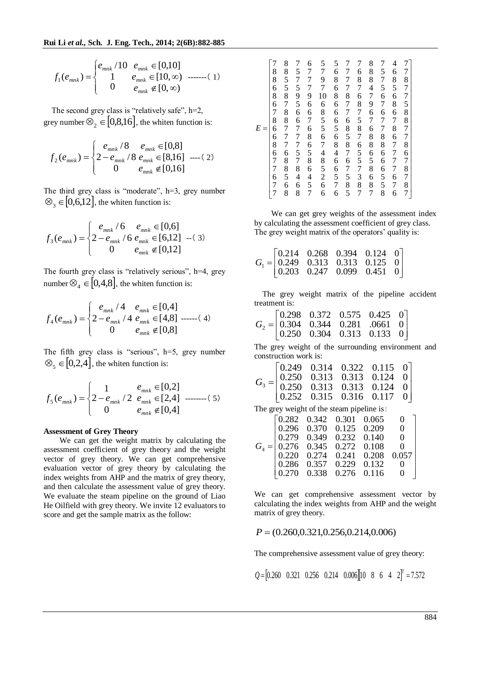$$
f_1(e_{mnk}) = \begin{cases} e_{mnk} / 10 & e_{mnk} \in [0,10] \\ 1 & e_{mnk} \in [10,\infty) \\ 0 & e_{mnk} \notin [0,\infty) \end{cases}
$$
........(1)

The second grey class is "relatively safe", h=2, grey number  $\otimes_2 \in [0,8,16]$ , the whiten function is:

$$
f_2(e_{mnk}) = \begin{cases} e_{mnk} / 8 & e_{mnk} \in [0,8] \\ 2 - e_{mnk} / 8 & e_{mnk} \in [8,16] \\ 0 & e_{mnk} \notin [0,16] \end{cases} \text{---(2)}
$$

The third grey class is "moderate", h=3, grey number  $\otimes_{\mathfrak{Z}} \in [0,6,12]$ , the whiten function is:

$$
f_3(e_{mnk}) = \begin{cases} e_{mnk} / 6 & e_{mnk} \in [0,6] \\ 2 - e_{mnk} / 6 & e_{mnk} \in [6,12] \\ 0 & e_{mnk} \notin [0,12] \end{cases}
$$

The fourth grey class is "relatively serious", h=4, grey number  $\otimes_4 \in [0,4,8]$ , the whiten function is:

$$
f_4(e_{mnk}) = \begin{cases} e_{mnk} / 4 & e_{mnk} \in [0,4] \\ 2 - e_{mnk} / 4 & e_{mnk} \in [4,8] \\ 0 & e_{mnk} \notin [0,8] \end{cases}
$$
---(4)

The fifth grey class is "serious", h=5, grey number  $\otimes_{5} \in [0,2,4]$ , the whiten function is:

$$
f_5(e_{mnk}) = \begin{cases} 1 & e_{mnk} \in [0,2] \\ 2 - e_{mnk} / 2 & e_{mnk} \in [2,4] \\ 0 & e_{mnk} \notin [0,4] \end{cases}
$$
........(5)

#### **Assessment of Grey Theory**

We can get the weight matrix by calculating the assessment coefficient of grey theory and the weight vector of grey theory. We can get comprehensive evaluation vector of grey theory by calculating the index weights from AHP and the matrix of grey theory, and then calculate the assessment value of grey theory. We evaluate the steam pipeline on the ground of Liao He Oilfield with grey theory. We invite 12 evaluators to score and get the sample matrix as the follow:

| E | 8868678668677677 | 8<br>8<br>55878877768<br>$\frac{8}{5}$<br>6<br>8 | 57595667775784<br>6<br>8 | 67779667686586457 | 5<br>7<br>9<br>7<br>10685567485266 | 568686665684665<br>$\begin{array}{c} 7 \\ 6 \end{array}$ | 77778776858767585 | 7<br>6<br>8<br>76875876557387 | 8<br>8<br>8<br>47967688658<br>6<br>8<br>7 | 5<br>756767788666558 | $\overline{\mathcal{L}}$<br>6856867867777676 | 7877588778678787 |
|---|------------------|--------------------------------------------------|--------------------------|-------------------|------------------------------------|----------------------------------------------------------|-------------------|-------------------------------|-------------------------------------------|----------------------|----------------------------------------------|------------------|
|---|------------------|--------------------------------------------------|--------------------------|-------------------|------------------------------------|----------------------------------------------------------|-------------------|-------------------------------|-------------------------------------------|----------------------|----------------------------------------------|------------------|

We can get grey weights of the assessment index by calculating the assessment coefficient of grey class. The grey weight matrix of the operators' quality is:

|  | $G_1 = \begin{bmatrix} 0.214 & 0.268 & 0.394 & 0.124 & 0 \\ 0.249 & 0.313 & 0.313 & 0.125 & 0 \\ 0.203 & 0.247 & 0.099 & 0.451 & 0 \end{bmatrix}$ |  |
|--|---------------------------------------------------------------------------------------------------------------------------------------------------|--|

The grey weight matrix of the pipeline accident treatment is:

|  | $G_2 = \begin{bmatrix} 0.298 & 0.372 & 0.575 & 0.425 & 0 \\ 0.304 & 0.344 & 0.281 & .0661 & 0 \\ 0.250 & 0.304 & 0.313 & 0.133 & 0 \end{bmatrix}$ |  |  |
|--|---------------------------------------------------------------------------------------------------------------------------------------------------|--|--|

The grey weight of the surrounding environment and construction work is:

|  |  | $G_3 = \begin{bmatrix} 0.249 & 0.314 & 0.322 & 0.115 & 0 \\ 0.250 & 0.313 & 0.313 & 0.124 & 0 \\ 0.250 & 0.313 & 0.313 & 0.124 & 0 \\ 0.252 & 0.315 & 0.316 & 0.117 & 0 \end{bmatrix}$ |  |
|--|--|----------------------------------------------------------------------------------------------------------------------------------------------------------------------------------------|--|

The grey weight of the steam pipeline is:

|  |  | $G_4 = \begin{bmatrix} 0.282 & 0.342 & 0.301 & 0.065 & 0 \\ 0.296 & 0.370 & 0.125 & 0.209 & 0 \\ 0.279 & 0.349 & 0.232 & 0.140 & 0 \\ 0.276 & 0.345 & 0.272 & 0.108 & 0 \\ 0.220 & 0.274 & 0.241 & 0.208 & 0.057 \\ 0.286 & 0.357 & 0.229 & 0.132 & 0 \\ 0.270 & 0.338 & 0.276$ |
|--|--|---------------------------------------------------------------------------------------------------------------------------------------------------------------------------------------------------------------------------------------------------------------------------------|
|  |  |                                                                                                                                                                                                                                                                                 |
|  |  |                                                                                                                                                                                                                                                                                 |
|  |  |                                                                                                                                                                                                                                                                                 |
|  |  |                                                                                                                                                                                                                                                                                 |
|  |  |                                                                                                                                                                                                                                                                                 |
|  |  |                                                                                                                                                                                                                                                                                 |

We can get comprehensive assessment vector by calculating the index weights from AHP and the weight matrix of grey theory.

 $P = (0.260, 0.321, 0.256, 0.214, 0.006)$ 

The comprehensive assessment value of grey theory:

 $Q = \begin{bmatrix} 0.260 & 0.321 & 0.256 & 0.214 & 0.006 \end{bmatrix}$  **10** 8 6 4  $2 \begin{bmatrix} T \\ 0.7572 \end{bmatrix}$